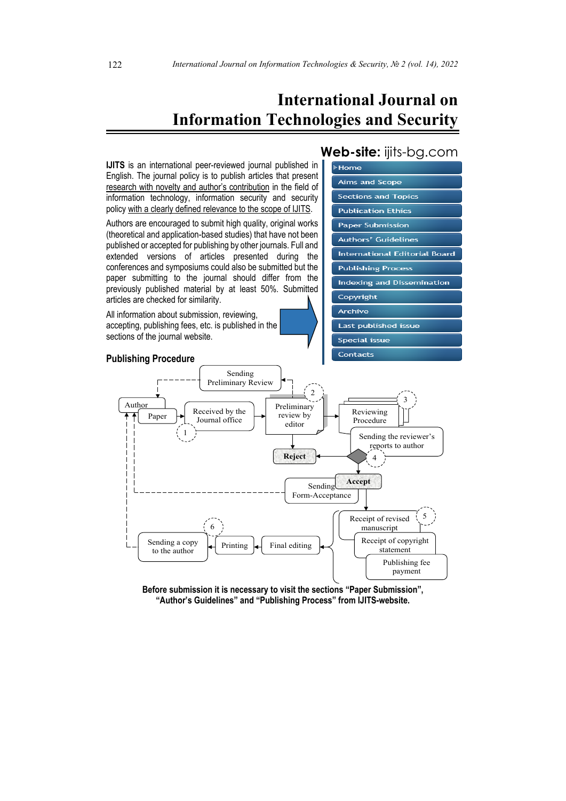# **International Journal on Information Technologies and Security**



**Before submission it is necessary to visit the sections "Paper Submission", "Author's Guidelines" and "Publishing Process" from IJITS-website.**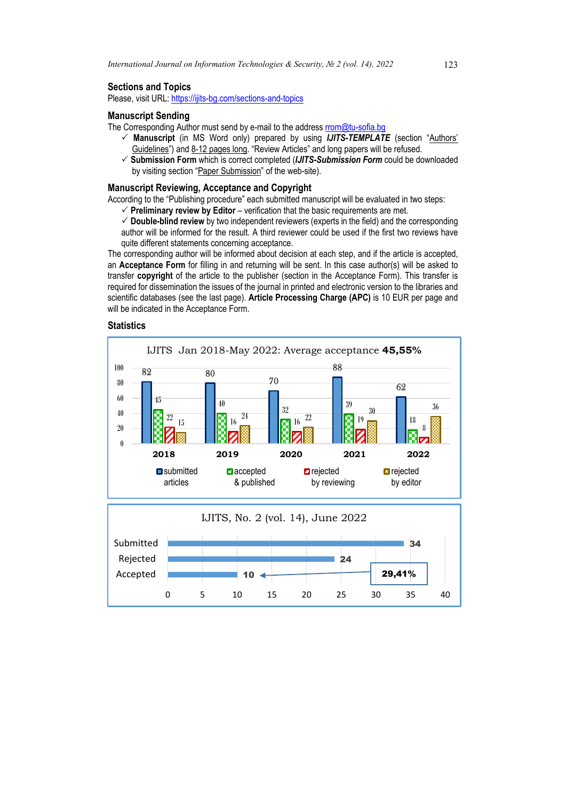### **Sections and Topics**

Please, visit URL[: https://ijits-bg.com/sections-and-topics](https://ijits-bg.com/sections-and-topics)

### **Manuscript Sending**

- The Corresponding Author must send by e-mail to the addres[s rrom@tu-sofia.bg](mailto:rrom@tu-sofia.bg)
	- **Manuscript** (in MS Word only) prepared by using *IJITS-TEMPLATE* (section "Authors' Guidelines") and 8-12 pages long. "Review Articles" and long papers will be refused.
	- **Submission Form** which is correct completed (*IJITS-Submission Form* could be downloaded by visiting section "Paper Submission" of the web-site).

#### **Manuscript Reviewing, Acceptance and Copyright**

According to the "Publishing procedure" each submitted manuscript will be evaluated in two steps:

- $\checkmark$  Preliminary review by Editor verification that the basic requirements are met.
- **Double-blind review** by two independent reviewers (experts in the field) and the corresponding author will be informed for the result. A third reviewer could be used if the first two reviews have quite different statements concerning acceptance.

The corresponding author will be informed about decision at each step, and if the article is accepted, an **Acceptance Form** for filling in and returning will be sent. In this case author(s) will be asked to transfer **copyright** of the article to the publisher (section in the Acceptance Form). This transfer is required for dissemination the issues of the journal in printed and electronic version to the libraries and scientific databases (see the last page). **Article Processing Charge (APC)** is 10 EUR per page and will be indicated in the Acceptance Form.

### **Statistics**